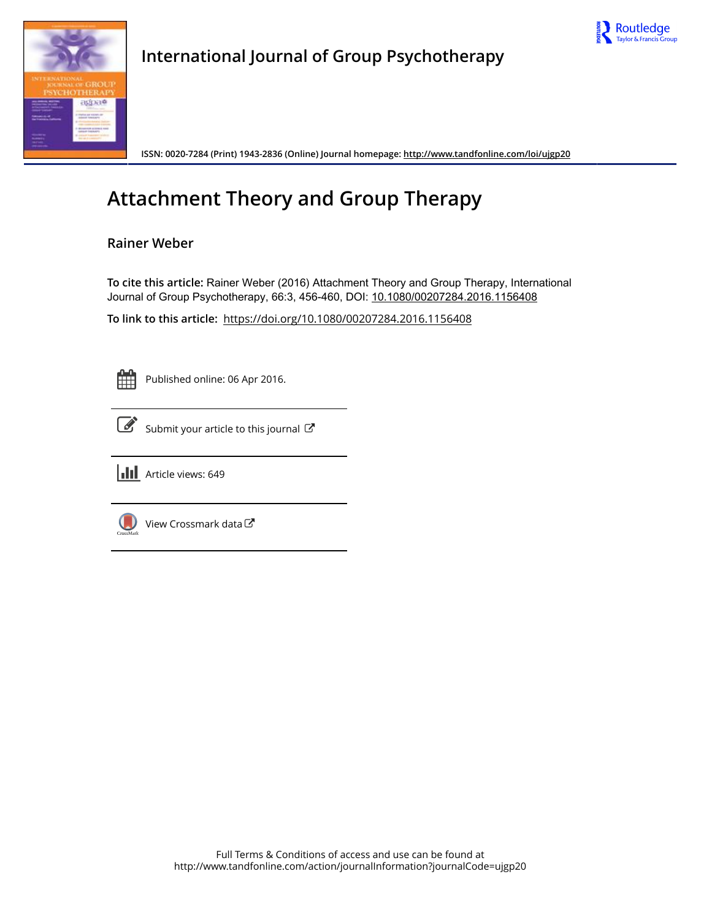



**International Journal of Group Psychotherapy**

**ISSN: 0020-7284 (Print) 1943-2836 (Online) Journal homepage:<http://www.tandfonline.com/loi/ujgp20>**

# **Attachment Theory and Group Therapy**

## **Rainer Weber**

**To cite this article:** Rainer Weber (2016) Attachment Theory and Group Therapy, International Journal of Group Psychotherapy, 66:3, 456-460, DOI: [10.1080/00207284.2016.1156408](http://www.tandfonline.com/action/showCitFormats?doi=10.1080/00207284.2016.1156408)

**To link to this article:** <https://doi.org/10.1080/00207284.2016.1156408>



Published online: 06 Apr 2016.



 $\overrightarrow{S}$  [Submit your article to this journal](http://www.tandfonline.com/action/authorSubmission?journalCode=ujgp20&show=instructions)  $\overrightarrow{S}$ 



**III** Article views: 649



[View Crossmark data](http://crossmark.crossref.org/dialog/?doi=10.1080/00207284.2016.1156408&domain=pdf&date_stamp=2016-04-06)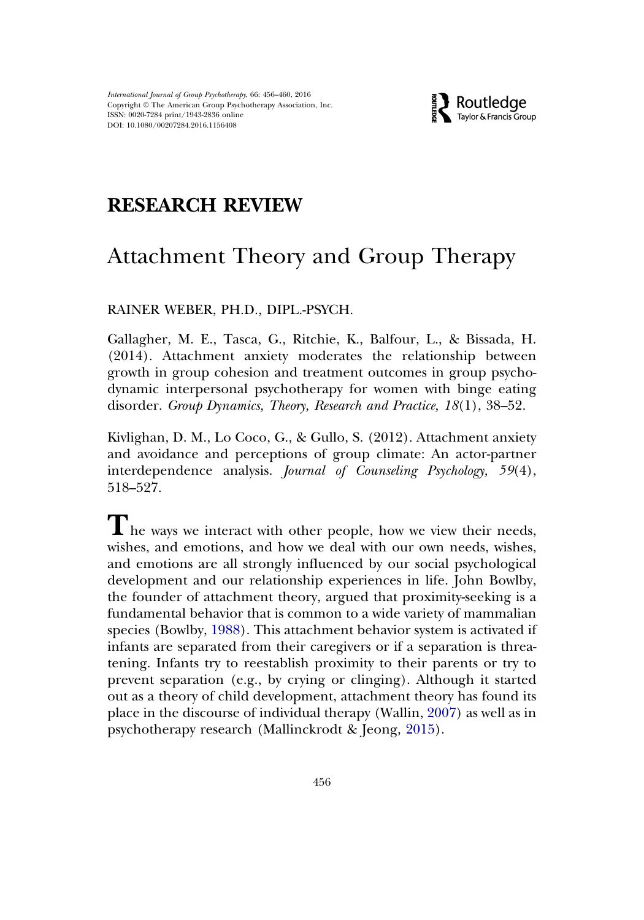

## RESEARCH REVIEW

## Attachment Theory and Group Therapy

### RAINER WEBER, PH.D., DIPL.-PSYCH.

Gallagher, M. E., Tasca, G., Ritchie, K., Balfour, L., & Bissada, H. (2014). Attachment anxiety moderates the relationship between growth in group cohesion and treatment outcomes in group psychodynamic interpersonal psychotherapy for women with binge eating disorder. Group Dynamics, Theory, Research and Practice, 18(1), 38–52.

Kivlighan, D. M., Lo Coco, G., & Gullo, S. (2012). Attachment anxiety and avoidance and perceptions of group climate: An actor-partner interdependence analysis. Journal of Counseling Psychology, 59(4), 518–527.

The ways we interact with other people, how we view their needs, wishes, and emotions, and how we deal with our own needs, wishes, and emotions are all strongly influenced by our social psychological development and our relationship experiences in life. John Bowlby, the founder of attachment theory, argued that proximity-seeking is a fundamental behavior that is common to a wide variety of mammalian species (Bowlby, [1988\)](#page-4-0). This attachment behavior system is activated if infants are separated from their caregivers or if a separation is threatening. Infants try to reestablish proximity to their parents or try to prevent separation (e.g., by crying or clinging). Although it started out as a theory of child development, attachment theory has found its place in the discourse of individual therapy (Wallin, [2007](#page-5-0)) as well as in psychotherapy research (Mallinckrodt & Jeong, [2015](#page-5-1)).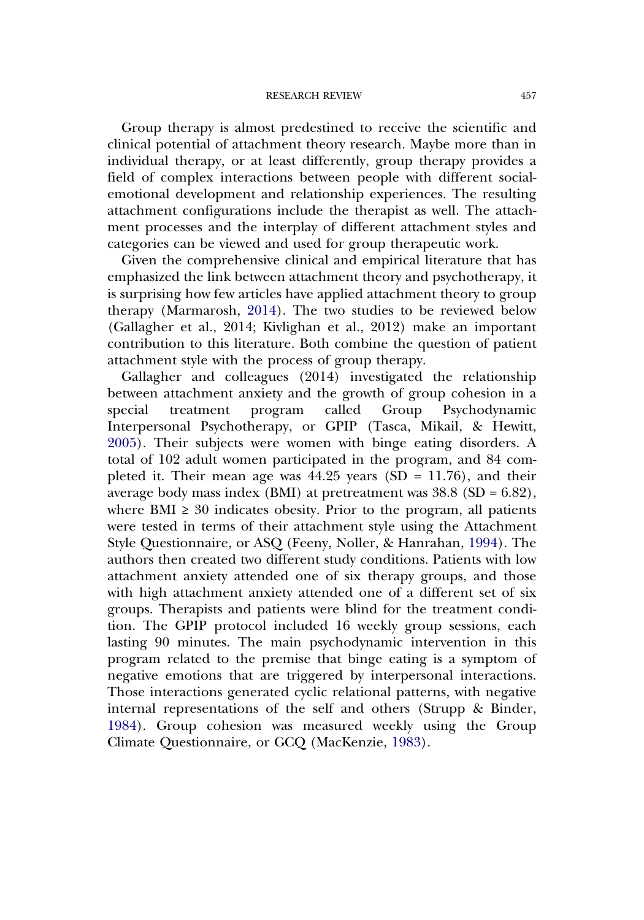Group therapy is almost predestined to receive the scientific and clinical potential of attachment theory research. Maybe more than in individual therapy, or at least differently, group therapy provides a field of complex interactions between people with different socialemotional development and relationship experiences. The resulting attachment configurations include the therapist as well. The attachment processes and the interplay of different attachment styles and categories can be viewed and used for group therapeutic work.

Given the comprehensive clinical and empirical literature that has emphasized the link between attachment theory and psychotherapy, it is surprising how few articles have applied attachment theory to group therapy (Marmarosh, [2014](#page-5-2)). The two studies to be reviewed below (Gallagher et al., 2014; Kivlighan et al., 2012) make an important contribution to this literature. Both combine the question of patient attachment style with the process of group therapy.

Gallagher and colleagues (2014) investigated the relationship between attachment anxiety and the growth of group cohesion in a special treatment program called Group Psychodynamic Interpersonal Psychotherapy, or GPIP (Tasca, Mikail, & Hewitt, [2005\)](#page-5-3). Their subjects were women with binge eating disorders. A total of 102 adult women participated in the program, and 84 completed it. Their mean age was  $44.25$  years (SD = 11.76), and their average body mass index (BMI) at pretreatment was  $38.8$  (SD = 6.82), where BMI  $\geq$  30 indicates obesity. Prior to the program, all patients were tested in terms of their attachment style using the Attachment Style Questionnaire, or ASQ (Feeny, Noller, & Hanrahan, [1994](#page-5-4)). The authors then created two different study conditions. Patients with low attachment anxiety attended one of six therapy groups, and those with high attachment anxiety attended one of a different set of six groups. Therapists and patients were blind for the treatment condition. The GPIP protocol included 16 weekly group sessions, each lasting 90 minutes. The main psychodynamic intervention in this program related to the premise that binge eating is a symptom of negative emotions that are triggered by interpersonal interactions. Those interactions generated cyclic relational patterns, with negative internal representations of the self and others (Strupp & Binder, [1984\)](#page-5-5). Group cohesion was measured weekly using the Group Climate Questionnaire, or GCQ (MacKenzie, [1983](#page-5-6)).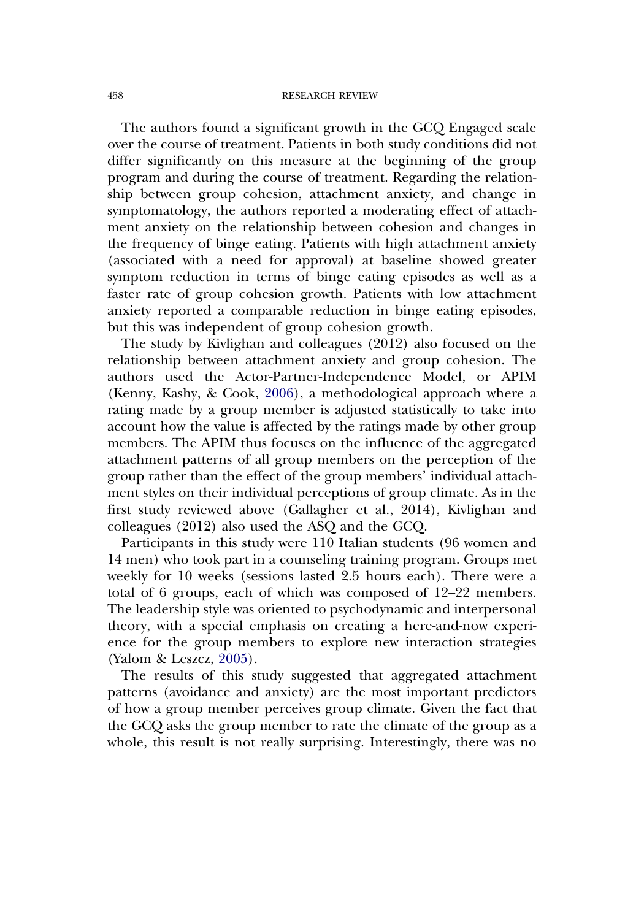#### 458 RESEARCH REVIEW

The authors found a significant growth in the GCQ Engaged scale over the course of treatment. Patients in both study conditions did not differ significantly on this measure at the beginning of the group program and during the course of treatment. Regarding the relationship between group cohesion, attachment anxiety, and change in symptomatology, the authors reported a moderating effect of attachment anxiety on the relationship between cohesion and changes in the frequency of binge eating. Patients with high attachment anxiety (associated with a need for approval) at baseline showed greater symptom reduction in terms of binge eating episodes as well as a faster rate of group cohesion growth. Patients with low attachment anxiety reported a comparable reduction in binge eating episodes, but this was independent of group cohesion growth.

The study by Kivlighan and colleagues (2012) also focused on the relationship between attachment anxiety and group cohesion. The authors used the Actor-Partner-Independence Model, or APIM (Kenny, Kashy, & Cook, [2006\)](#page-5-7), a methodological approach where a rating made by a group member is adjusted statistically to take into account how the value is affected by the ratings made by other group members. The APIM thus focuses on the influence of the aggregated attachment patterns of all group members on the perception of the group rather than the effect of the group members' individual attachment styles on their individual perceptions of group climate. As in the first study reviewed above (Gallagher et al., 2014), Kivlighan and colleagues (2012) also used the ASQ and the GCQ.

Participants in this study were 110 Italian students (96 women and 14 men) who took part in a counseling training program. Groups met weekly for 10 weeks (sessions lasted 2.5 hours each). There were a total of 6 groups, each of which was composed of 12–22 members. The leadership style was oriented to psychodynamic and interpersonal theory, with a special emphasis on creating a here-and-now experience for the group members to explore new interaction strategies (Yalom & Leszcz, [2005\)](#page-5-8).

The results of this study suggested that aggregated attachment patterns (avoidance and anxiety) are the most important predictors of how a group member perceives group climate. Given the fact that the GCQ asks the group member to rate the climate of the group as a whole, this result is not really surprising. Interestingly, there was no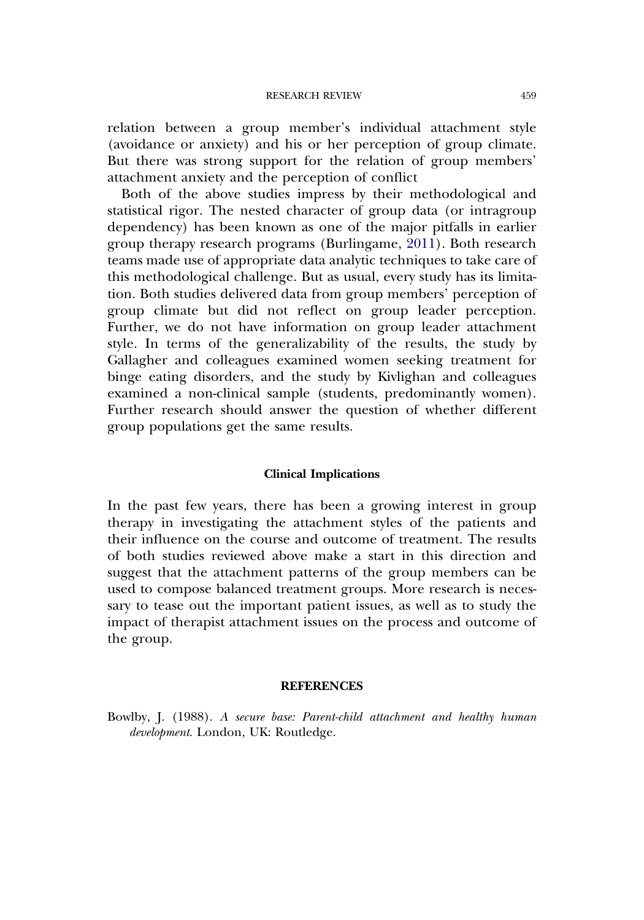relation between a group member's individual attachment style (avoidance or anxiety) and his or her perception of group climate. But there was strong support for the relation of group members' attachment anxiety and the perception of conflict

Both of the above studies impress by their methodological and statistical rigor. The nested character of group data (or intragroup dependency) has been known as one of the major pitfalls in earlier group therapy research programs (Burlingame, [2011\)](#page-5-9). Both research teams made use of appropriate data analytic techniques to take care of this methodological challenge. But as usual, every study has its limitation. Both studies delivered data from group members' perception of group climate but did not reflect on group leader perception. Further, we do not have information on group leader attachment style. In terms of the generalizability of the results, the study by Gallagher and colleagues examined women seeking treatment for binge eating disorders, and the study by Kivlighan and colleagues examined a non-clinical sample (students, predominantly women). Further research should answer the question of whether different group populations get the same results.

### Clinical Implications

In the past few years, there has been a growing interest in group therapy in investigating the attachment styles of the patients and their influence on the course and outcome of treatment. The results of both studies reviewed above make a start in this direction and suggest that the attachment patterns of the group members can be used to compose balanced treatment groups. More research is necessary to tease out the important patient issues, as well as to study the impact of therapist attachment issues on the process and outcome of the group.

#### **REFERENCES**

<span id="page-4-0"></span>Bowlby, J. (1988). A secure base: Parent-child attachment and healthy human development. London, UK: Routledge.